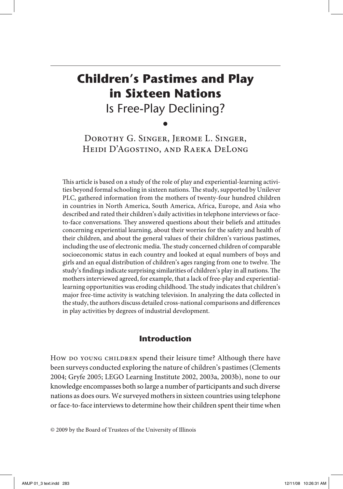# **Children's Pastimes and Play in Sixteen Nations** Is Free-Play Declining?

•

Dorothy G. Singer, Jerome L. Singer, Heidi D'Agostino, and Raeka DeLong

This article is based on a study of the role of play and experiential-learning activities beyond formal schooling in sixteen nations. The study, supported by Unilever PLC, gathered information from the mothers of twenty-four hundred children in countries in North America, South America, Africa, Europe, and Asia who described and rated their children's daily activities in telephone interviews or faceto-face conversations. They answered questions about their beliefs and attitudes concerning experiential learning, about their worries for the safety and health of their children, and about the general values of their children's various pastimes, including the use of electronic media. The study concerned children of comparable socioeconomic status in each country and looked at equal numbers of boys and girls and an equal distribution of children's ages ranging from one to twelve. The study's findings indicate surprising similarities of children's play in all nations. The mothers interviewed agreed, for example, that a lack of free-play and experientiallearning opportunities was eroding childhood. The study indicates that children's major free-time activity is watching television. In analyzing the data collected in the study, the authors discuss detailed cross-national comparisons and differences in play activities by degrees of industrial development.

# **Introduction**

How do young children spend their leisure time? Although there have been surveys conducted exploring the nature of children's pastimes (Clements 2004; Gryfe 2005; LEGO Learning Institute 2002, 2003a, 2003b), none to our knowledge encompasses both so large a number of participants and such diverse nations as does ours. We surveyed mothers in sixteen countries using telephone or face-to-face interviews to determine how their children spent their time when

<sup>© 2009</sup> by the Board of Trustees of the University of Illinois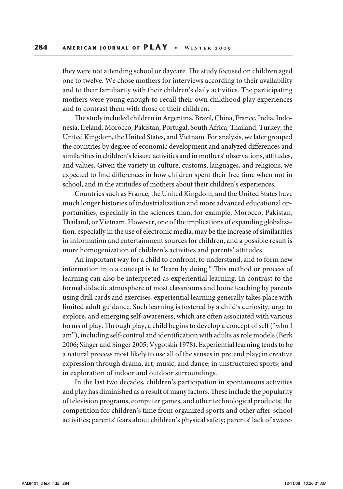they were not attending school or daycare. The study focused on children aged one to twelve. We chose mothers for interviews according to their availability and to their familiarity with their children's daily activities. The participating mothers were young enough to recall their own childhood play experiences and to contrast them with those of their children.

The study included children in Argentina, Brazil, China, France, India, Indonesia, Ireland, Morocco, Pakistan, Portugal, South Africa, Thailand, Turkey, the United Kingdom, the United States, and Vietnam. For analysis, we later grouped the countries by degree of economic development and analyzed differences and similarities in children's leisure activities and in mothers' observations, attitudes, and values. Given the variety in culture, customs, languages, and religions, we expected to find differences in how children spent their free time when not in school, and in the attitudes of mothers about their children's experiences.

Countries such as France, the United Kingdom, and the United States have much longer histories of industrialization and more advanced educational opportunities, especially in the sciences than, for example, Morocco, Pakistan, Thailand, or Vietnam. However, one of the implications of expanding globalization, especially in the use of electronic media, may be the increase of similarities in information and entertainment sources for children, and a possible result is more homogenization of children's activities and parents' attitudes.

An important way for a child to confront, to understand, and to form new information into a concept is to "learn by doing." This method or process of learning can also be interpreted as experiential learning. In contrast to the formal didactic atmosphere of most classrooms and home teaching by parents using drill cards and exercises, experiential learning generally takes place with limited adult guidance. Such learning is fostered by a child's curiosity, urge to explore, and emerging self-awareness, which are often associated with various forms of play. Through play, a child begins to develop a concept of self ("who I am"), including self-control and identification with adults as role models (Berk 2006; Singer and Singer 2005; Vygotskiĭ 1978). Experiential learning tends to be a natural process most likely to use all of the senses in pretend play; in creative expression through drama, art, music, and dance; in unstructured sports; and in exploration of indoor and outdoor surroundings.

In the last two decades, children's participation in spontaneous activities and play has diminished as a result of many factors. These include the popularity of television programs, computer games, and other technological products; the competition for children's time from organized sports and other after-school activities; parents' fears about children's physical safety; parents' lack of aware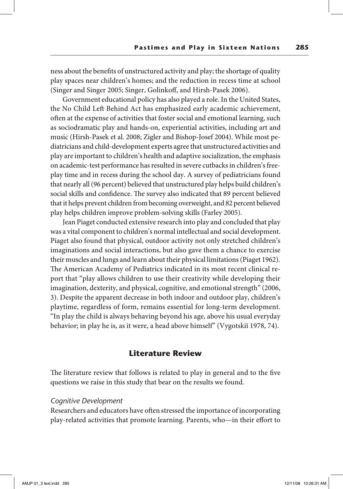ness about the benefits of unstructured activity and play; the shortage of quality play spaces near children's homes; and the reduction in recess time at school (Singer and Singer 2005; Singer, Golinkoff, and Hirsh-Pasek 2006).

Government educational policy has also played a role. In the United States, the No Child Left Behind Act has emphasized early academic achievement, often at the expense of activities that foster social and emotional learning, such as sociodramatic play and hands-on, experiential activities, including art and music (Hirsh-Pasek et al. 2008; Zigler and Bishop-Josef 2004). While most pediatricians and child-development experts agree that unstructured activities and play are important to children's health and adaptive socialization, the emphasis on academic-test performance has resulted in severe cutbacks in children's freeplay time and in recess during the school day. A survey of pediatricians found that nearly all (96 percent) believed that unstructured play helps build children's social skills and confidence. The survey also indicated that 89 percent believed that it helps prevent children from becoming overweight, and 82 percent believed play helps children improve problem-solving skills (Farley 2005).

Jean Piaget conducted extensive research into play and concluded that play was a vital component to children's normal intellectual and social development. Piaget also found that physical, outdoor activity not only stretched children's imaginations and social interactions, but also gave them a chance to exercise their muscles and lungs and learn about their physical limitations (Piaget 1962). The American Academy of Pediatrics indicated in its most recent clinical report that "play allows children to use their creativity while developing their imagination, dexterity, and physical, cognitive, and emotional strength" (2006, 3). Despite the apparent decrease in both indoor and outdoor play, children's playtime, regardless of form, remains essential for long-term development. "In play the child is always behaving beyond his age, above his usual everyday behavior; in play he is, as it were, a head above himself" (Vygotskiĭ 1978, 74).

## **Literature Review**

The literature review that follows is related to play in general and to the five questions we raise in this study that bear on the results we found.

#### *Cognitive Development*

Researchers and educators have often stressed the importance of incorporating play-related activities that promote learning. Parents, who—in their effort to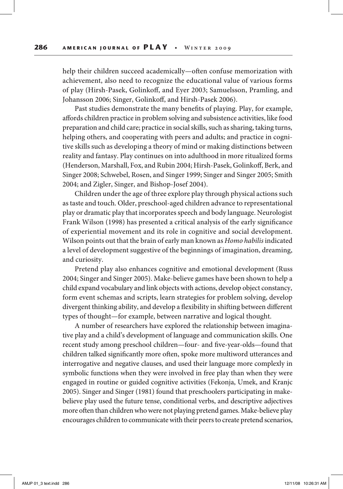help their children succeed academically—often confuse memorization with achievement, also need to recognize the educational value of various forms of play (Hirsh-Pasek, Golinkoff, and Eyer 2003; Samuelsson, Pramling, and Johansson 2006; Singer, Golinkoff, and Hirsh-Pasek 2006).

Past studies demonstrate the many benefits of playing. Play, for example, affords children practice in problem solving and subsistence activities, like food preparation and child care; practice in social skills, such as sharing, taking turns, helping others, and cooperating with peers and adults; and practice in cognitive skills such as developing a theory of mind or making distinctions between reality and fantasy. Play continues on into adulthood in more ritualized forms (Henderson, Marshall, Fox, and Rubin 2004; Hirsh-Pasek, Golinkoff, Berk, and Singer 2008; Schwebel, Rosen, and Singer 1999; Singer and Singer 2005; Smith 2004; and Zigler, Singer, and Bishop-Josef 2004).

Children under the age of three explore play through physical actions such as taste and touch. Older, preschool-aged children advance to representational play or dramatic play that incorporates speech and body language. Neurologist Frank Wilson (1998) has presented a critical analysis of the early significance of experiential movement and its role in cognitive and social development. Wilson points out that the brain of early man known as *Homo habilis* indicated a level of development suggestive of the beginnings of imagination, dreaming, and curiosity.

Pretend play also enhances cognitive and emotional development (Russ 2004; Singer and Singer 2005). Make-believe games have been shown to help a child expand vocabulary and link objects with actions, develop object constancy, form event schemas and scripts, learn strategies for problem solving, develop divergent thinking ability, and develop a flexibility in shifting between different types of thought—for example, between narrative and logical thought.

A number of researchers have explored the relationship between imaginative play and a child's development of language and communication skills. One recent study among preschool children—four- and five-year-olds—found that children talked significantly more often, spoke more multiword utterances and interrogative and negative clauses, and used their language more complexly in symbolic functions when they were involved in free play than when they were engaged in routine or guided cognitive activities (Fekonja, Umek, and Kranjc 2005). Singer and Singer (1981) found that preschoolers participating in makebelieve play used the future tense, conditional verbs, and descriptive adjectives more often than children who were not playing pretend games. Make-believe play encourages children to communicate with their peers to create pretend scenarios,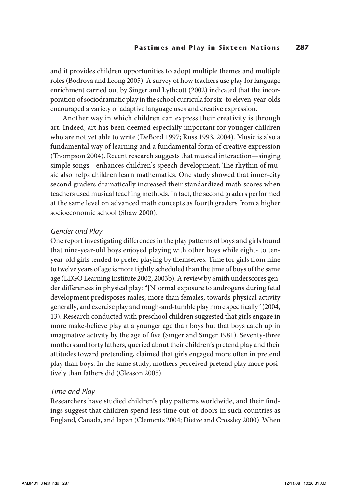and it provides children opportunities to adopt multiple themes and multiple roles (Bodrova and Leong 2005). A survey of how teachers use play for language enrichment carried out by Singer and Lythcott (2002) indicated that the incorporation of sociodramatic play in the school curricula for six- to eleven-year-olds encouraged a variety of adaptive language uses and creative expression.

Another way in which children can express their creativity is through art. Indeed, art has been deemed especially important for younger children who are not yet able to write (DeBord 1997; Russ 1993, 2004)*.* Music is also a fundamental way of learning and a fundamental form of creative expression (Thompson 2004). Recent research suggests that musical interaction—singing simple songs—enhances children's speech development. The rhythm of music also helps children learn mathematics. One study showed that inner-city second graders dramatically increased their standardized math scores when teachers used musical teaching methods. In fact, the second graders performed at the same level on advanced math concepts as fourth graders from a higher socioeconomic school (Shaw 2000).

## *Gender and Play*

One report investigating differences in the play patterns of boys and girls found that nine-year-old boys enjoyed playing with other boys while eight- to tenyear-old girls tended to prefer playing by themselves. Time for girls from nine to twelve years of age is more tightly scheduled than the time of boys of the same age (LEGO Learning Institute 2002, 2003b). A review by Smith underscores gender differences in physical play: "[N]ormal exposure to androgens during fetal development predisposes males, more than females, towards physical activity generally, and exercise play and rough-and-tumble play more specifically" (2004, 13). Research conducted with preschool children suggested that girls engage in more make-believe play at a younger age than boys but that boys catch up in imaginative activity by the age of five (Singer and Singer 1981). Seventy-three mothers and forty fathers, queried about their children's pretend play and their attitudes toward pretending, claimed that girls engaged more often in pretend play than boys. In the same study, mothers perceived pretend play more positively than fathers did (Gleason 2005).

#### *Time and Play*

Researchers have studied children's play patterns worldwide, and their findings suggest that children spend less time out-of-doors in such countries as England, Canada, and Japan (Clements 2004; Dietze and Crossley 2000). When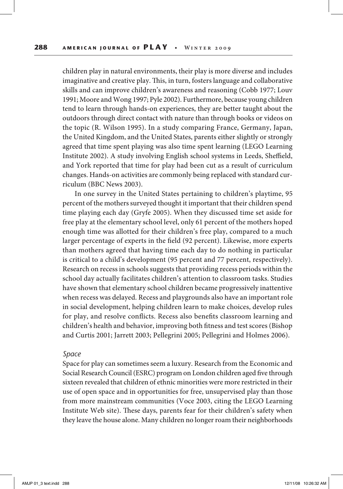children play in natural environments, their play is more diverse and includes imaginative and creative play. This, in turn, fosters language and collaborative skills and can improve children's awareness and reasoning (Cobb 1977; Louv 1991; Moore and Wong 1997; Pyle 2002). Furthermore, because young children tend to learn through hands-on experiences, they are better taught about the outdoors through direct contact with nature than through books or videos on the topic (R. Wilson 1995). In a study comparing France, Germany, Japan, the United Kingdom, and the United States, parents either slightly or strongly agreed that time spent playing was also time spent learning (LEGO Learning Institute 2002). A study involving English school systems in Leeds, Sheffield, and York reported that time for play had been cut as a result of curriculum changes. Hands-on activities are commonly being replaced with standard curriculum (BBC News 2003).

In one survey in the United States pertaining to children's playtime, 95 percent of the mothers surveyed thought it important that their children spend time playing each day (Gryfe 2005). When they discussed time set aside for free play at the elementary school level, only 61 percent of the mothers hoped enough time was allotted for their children's free play, compared to a much larger percentage of experts in the field (92 percent). Likewise, more experts than mothers agreed that having time each day to do nothing in particular is critical to a child's development (95 percent and 77 percent, respectively). Research on recess in schools suggests that providing recess periods within the school day actually facilitates children's attention to classroom tasks. Studies have shown that elementary school children became progressively inattentive when recess was delayed. Recess and playgrounds also have an important role in social development, helping children learn to make choices, develop rules for play, and resolve conflicts. Recess also benefits classroom learning and children's health and behavior, improving both fitness and test scores (Bishop and Curtis 2001; Jarrett 2003; Pellegrini 2005; Pellegrini and Holmes 2006).

#### *Space*

Space for play can sometimes seem a luxury. Research from the Economic and Social Research Council (ESRC) program on London children aged five through sixteen revealed that children of ethnic minorities were more restricted in their use of open space and in opportunities for free, unsupervised play than those from more mainstream communities (Voce 2003, citing the LEGO Learning Institute Web site). These days, parents fear for their children's safety when they leave the house alone. Many children no longer roam their neighborhoods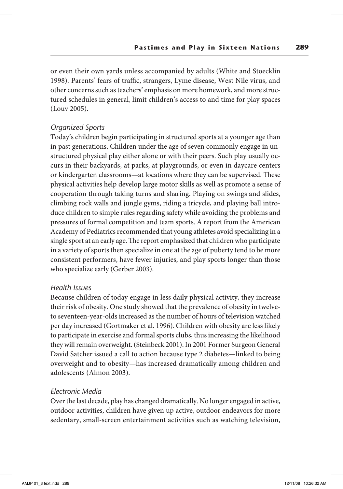or even their own yards unless accompanied by adults (White and Stoecklin 1998). Parents' fears of traffic, strangers, Lyme disease, West Nile virus, and other concerns such as teachers' emphasis on more homework, and more structured schedules in general, limit children's access to and time for play spaces (Louv 2005).

## *Organized Sports*

Today's children begin participating in structured sports at a younger age than in past generations. Children under the age of seven commonly engage in unstructured physical play either alone or with their peers. Such play usually occurs in their backyards, at parks, at playgrounds, or even in daycare centers or kindergarten classrooms—at locations where they can be supervised. These physical activities help develop large motor skills as well as promote a sense of cooperation through taking turns and sharing. Playing on swings and slides, climbing rock walls and jungle gyms, riding a tricycle, and playing ball introduce children to simple rules regarding safety while avoiding the problems and pressures of formal competition and team sports. A report from the American Academy of Pediatrics recommended that young athletes avoid specializing in a single sport at an early age. The report emphasized that children who participate in a variety of sports then specialize in one at the age of puberty tend to be more consistent performers, have fewer injuries, and play sports longer than those who specialize early (Gerber 2003).

## *Health Issues*

Because children of today engage in less daily physical activity, they increase their risk of obesity. One study showed that the prevalence of obesity in twelveto seventeen-year-olds increased as the number of hours of television watched per day increased (Gortmaker et al. 1996). Children with obesity are less likely to participate in exercise and formal sports clubs, thus increasing the likelihood they will remain overweight. (Steinbeck 2001). In 2001 Former Surgeon General David Satcher issued a call to action because type 2 diabetes—linked to being overweight and to obesity—has increased dramatically among children and adolescents (Almon 2003).

## *Electronic Media*

Over the last decade, play has changed dramatically. No longer engaged in active, outdoor activities, children have given up active, outdoor endeavors for more sedentary, small-screen entertainment activities such as watching television,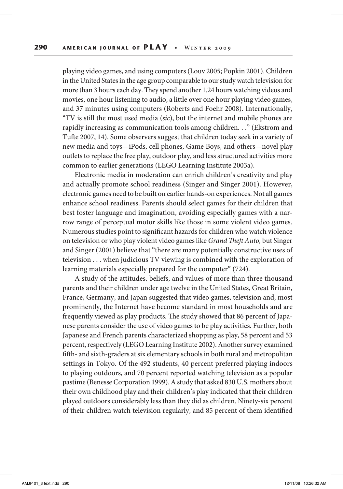playing video games, and using computers (Louv 2005; Popkin 2001). Children in the United States in the age group comparable to our study watch television for more than 3 hours each day. They spend another 1.24 hours watching videos and movies, one hour listening to audio, a little over one hour playing video games, and 37 minutes using computers (Roberts and Foehr 2008). Internationally, "TV is still the most used media (*sic*), but the internet and mobile phones are rapidly increasing as communication tools among children. . ." (Ekstrom and Tufte 2007, 14). Some observers suggest that children today seek in a variety of new media and toys—iPods, cell phones, Game Boys, and others—novel play outlets to replace the free play, outdoor play, and less structured activities more common to earlier generations (LEGO Learning Institute 2003a).

Electronic media in moderation can enrich children's creativity and play and actually promote school readiness (Singer and Singer 2001). However, electronic games need to be built on earlier hands-on experiences. Not all games enhance school readiness. Parents should select games for their children that best foster language and imagination, avoiding especially games with a narrow range of perceptual motor skills like those in some violent video games. Numerous studies point to significant hazards for children who watch violence on television or who play violent video games like *Grand Theft Auto,* but Singer and Singer (2001) believe that "there are many potentially constructive uses of television . . . when judicious TV viewing is combined with the exploration of learning materials especially prepared for the computer" (724).

A study of the attitudes, beliefs, and values of more than three thousand parents and their children under age twelve in the United States, Great Britain, France, Germany, and Japan suggested that video games, television and, most prominently, the Internet have become standard in most households and are frequently viewed as play products. The study showed that 86 percent of Japanese parents consider the use of video games to be play activities. Further, both Japanese and French parents characterized shopping as play, 58 percent and 53 percent, respectively (LEGO Learning Institute 2002). Another survey examined fifth- and sixth-graders at six elementary schools in both rural and metropolitan settings in Tokyo. Of the 492 students, 40 percent preferred playing indoors to playing outdoors, and 70 percent reported watching television as a popular pastime (Benesse Corporation 1999). A study that asked 830 U.S. mothers about their own childhood play and their children's play indicated that their children played outdoors considerably less than they did as children. Ninety-six percent of their children watch television regularly, and 85 percent of them identified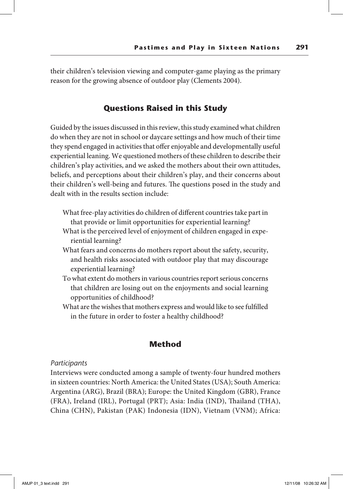their children's television viewing and computer-game playing as the primary reason for the growing absence of outdoor play (Clements 2004).

## **Questions Raised in this Study**

Guided by the issues discussed in this review, this study examined what children do when they are not in school or daycare settings and how much of their time they spend engaged in activities that offer enjoyable and developmentally useful experiential leaning. We questioned mothers of these children to describe their children's play activities, and we asked the mothers about their own attitudes, beliefs, and perceptions about their children's play, and their concerns about their children's well-being and futures. The questions posed in the study and dealt with in the results section include:

- What free-play activities do children of different countries take part in that provide or limit opportunities for experiential learning?
- What is the perceived level of enjoyment of children engaged in experiential learning?
- What fears and concerns do mothers report about the safety, security, and health risks associated with outdoor play that may discourage experiential learning?
- To what extent do mothers in various countries report serious concerns that children are losing out on the enjoyments and social learning opportunities of childhood?
- What are the wishes that mothers express and would like to see fulfilled in the future in order to foster a healthy childhood?

## **Method**

#### *Participants*

Interviews were conducted among a sample of twenty-four hundred mothers in sixteen countries: North America: the United States (USA); South America: Argentina (ARG), Brazil (BRA); Europe: the United Kingdom (GBR), France (FRA), Ireland (IRL), Portugal (PRT); Asia: India (IND), Thailand (THA), China (CHN), Pakistan (PAK) Indonesia (IDN), Vietnam (VNM); Africa: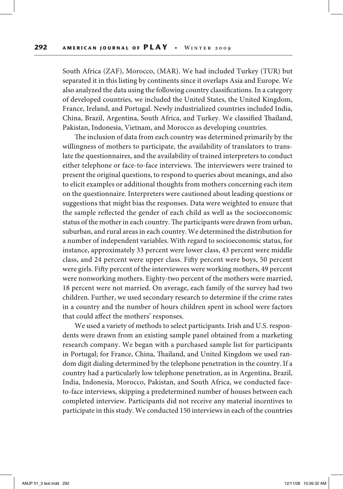South Africa (ZAF), Morocco, (MAR). We had included Turkey (TUR) but separated it in this listing by continents since it overlaps Asia and Europe. We also analyzed the data using the following country classifications. In a category of developed countries, we included the United States, the United Kingdom, France, Ireland, and Portugal. Newly industrialized countries included India, China, Brazil, Argentina, South Africa, and Turkey. We classified Thailand, Pakistan, Indonesia, Vietnam, and Morocco as developing countries.

The inclusion of data from each country was determined primarily by the willingness of mothers to participate, the availability of translators to translate the questionnaires, and the availability of trained interpreters to conduct either telephone or face-to-face interviews. The interviewers were trained to present the original questions, to respond to queries about meanings, and also to elicit examples or additional thoughts from mothers concerning each item on the questionnaire. Interpreters were cautioned about leading questions or suggestions that might bias the responses. Data were weighted to ensure that the sample reflected the gender of each child as well as the socioeconomic status of the mother in each country. The participants were drawn from urban, suburban, and rural areas in each country. We determined the distribution for a number of independent variables. With regard to socioeconomic status, for instance, approximately 33 percent were lower class, 43 percent were middle class, and 24 percent were upper class. Fifty percent were boys, 50 percent were girls. Fifty percent of the interviewees were working mothers, 49 percent were nonworking mothers. Eighty-two percent of the mothers were married, 18 percent were not married. On average, each family of the survey had two children. Further, we used secondary research to determine if the crime rates in a country and the number of hours children spent in school were factors that could affect the mothers' responses.

We used a variety of methods to select participants. Irish and U.S. respondents were drawn from an existing sample panel obtained from a marketing research company. We began with a purchased sample list for participants in Portugal; for France, China, Thailand, and United Kingdom we used random digit dialing determined by the telephone penetration in the country. If a country had a particularly low telephone penetration, as in Argentina, Brazil, India, Indonesia, Morocco, Pakistan, and South Africa, we conducted faceto-face interviews, skipping a predetermined number of houses between each completed interview. Participants did not receive any material incentives to participate in this study. We conducted 150 interviews in each of the countries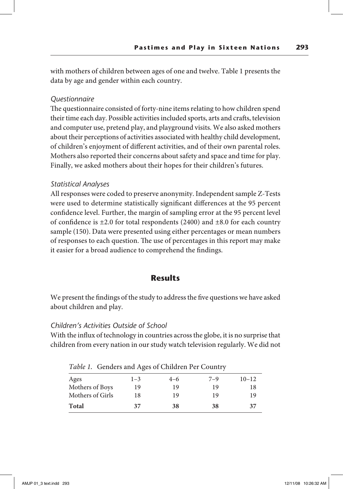with mothers of children between ages of one and twelve. Table 1 presents the data by age and gender within each country.

## *Questionnaire*

The questionnaire consisted of forty-nine items relating to how children spend their time each day. Possible activities included sports, arts and crafts, television and computer use, pretend play, and playground visits. We also asked mothers about their perceptions of activities associated with healthy child development, of children's enjoyment of different activities, and of their own parental roles. Mothers also reported their concerns about safety and space and time for play. Finally, we asked mothers about their hopes for their children's futures.

## *Statistical Analyses*

All responses were coded to preserve anonymity. Independent sample Z-Tests were used to determine statistically significant differences at the 95 percent confidence level. Further, the margin of sampling error at the 95 percent level of confidence is  $\pm 2.0$  for total respondents (2400) and  $\pm 8.0$  for each country sample (150). Data were presented using either percentages or mean numbers of responses to each question. The use of percentages in this report may make it easier for a broad audience to comprehend the findings.

# **Results**

We present the findings of the study to address the five questions we have asked about children and play.

## *Children's Activities Outside of School*

With the influx of technology in countries across the globe, it is no surprise that children from every nation in our study watch television regularly. We did not

| Ages             | $1 - 3$ | $4 - 6$ | $7 - 9$ | $10 - 12$ |
|------------------|---------|---------|---------|-----------|
| Mothers of Boys  | 19      | 19      | 19      | 18        |
| Mothers of Girls | 18      | 19      | 19      | 19        |
| <b>Total</b>     | 37      | 38      | 38      | 37        |

*Table 1.* Genders and Ages of Children Per Country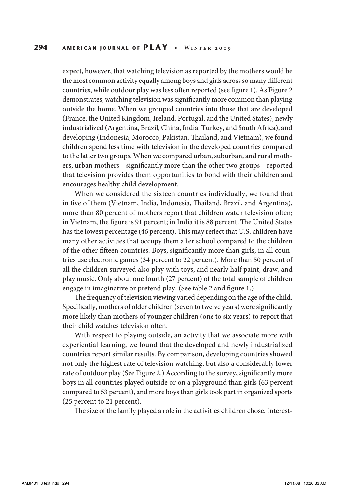expect, however, that watching television as reported by the mothers would be the most common activity equally among boys and girls across so many different countries, while outdoor play was less often reported (see figure 1). As Figure 2 demonstrates, watching television was significantly more common than playing outside the home. When we grouped countries into those that are developed (France, the United Kingdom, Ireland, Portugal, and the United States), newly industrialized (Argentina, Brazil, China, India, Turkey, and South Africa), and developing (Indonesia, Morocco, Pakistan, Thailand, and Vietnam), we found children spend less time with television in the developed countries compared to the latter two groups. When we compared urban, suburban, and rural mothers, urban mothers—significantly more than the other two groups—reported that television provides them opportunities to bond with their children and encourages healthy child development.

When we considered the sixteen countries individually, we found that in five of them (Vietnam, India, Indonesia, Thailand, Brazil, and Argentina), more than 80 percent of mothers report that children watch television often; in Vietnam, the figure is 91 percent; in India it is 88 percent. The United States has the lowest percentage (46 percent). This may reflect that U.S. children have many other activities that occupy them after school compared to the children of the other fifteen countries. Boys, significantly more than girls, in all countries use electronic games (34 percent to 22 percent). More than 50 percent of all the children surveyed also play with toys, and nearly half paint, draw, and play music. Only about one fourth (27 percent) of the total sample of children engage in imaginative or pretend play. (See table 2 and figure 1.)

The frequency of television viewing varied depending on the age of the child. Specifically, mothers of older children (seven to twelve years) were significantly more likely than mothers of younger children (one to six years) to report that their child watches television often.

With respect to playing outside, an activity that we associate more with experiential learning, we found that the developed and newly industrialized countries report similar results. By comparison, developing countries showed not only the highest rate of television watching, but also a considerably lower rate of outdoor play (See Figure 2.) According to the survey, significantly more boys in all countries played outside or on a playground than girls (63 percent compared to 53 percent), and more boys than girls took part in organized sports (25 percent to 21 percent).

The size of the family played a role in the activities children chose. Interest-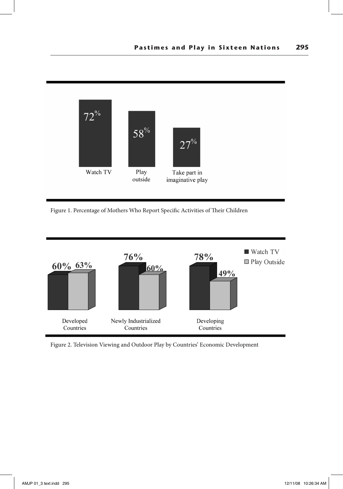

Figure 1. Percentage of Mothers Who Report Specific Activities of Their Children



Figure 2. Television Viewing and Outdoor Play by Countries' Economic Development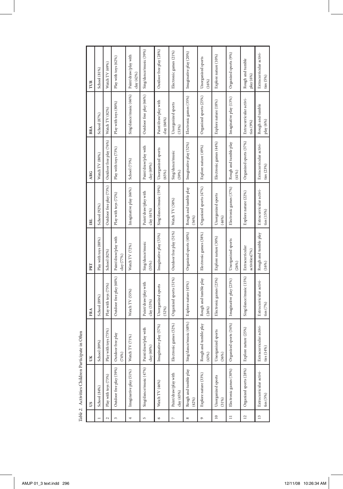|                       | US                                      | Ĕ                                     | FRA                                    | PRT                                | E                                     | <b>ARG</b>                            | BRA                                    | TUR                                    |
|-----------------------|-----------------------------------------|---------------------------------------|----------------------------------------|------------------------------------|---------------------------------------|---------------------------------------|----------------------------------------|----------------------------------------|
|                       | School (84%)                            | (89%)<br>School                       | School (89%)                           | Play with toys (88%)               | School (92%)                          | Watch TV (80%)                        | School (87%)                           | School (81%)                           |
| $\sim$                | Play with toys (73%)                    | Play with toys (75%)                  | Play with toys (75%)                   | School (82%)                       | Outdoor free play (73%)               | Outdoor free play (76%)               | Watch TV (82%)                         | Watch TV (69%)                         |
| $\tilde{\phantom{a}}$ | Outdoor free play (59%)                 | Outdoor free play<br>(74%)            | Outdoor free play (60%)                | Paint/draw/play with<br>clay (77%) | Play with toys (72%)                  | Play with toys (73%)                  | Play with toys (80%)                   | Play with toys (62%)                   |
| 4                     | Imaginative play (51%)                  | TV (71%)<br>Watch <sup>7</sup>        | Watch TV (55%)                         | Watch TV (72%)                     | Imaginative play (66%)                | School (73%)                          | Sing/dance/music (66%)                 | Paint/draw/play with<br>day (42%)      |
| 5                     | Sing/dance/music (47%)                  | Paint/draw/play with<br>ଛ<br>clay(60) | Paint/draw/play with<br>clay(53%)      | Sing/dance/music<br>(55%)          | Paint/draw/play with<br>clay (61%)    | Paint/draw/play with<br>day (69%)     | Outdoor free play (66%)                | Sing/dance/music (39%)                 |
| $\circ$               | Watch TV (46%)                          | Imaginative play (57%)                | Unorganized sports<br>(52%)            | Imaginative play (53%)             | Sing/dance/music (59%)                | Unorganized sports<br>(65%)           | Paint/draw/play with<br>day(66%)       | Outdoor free play (28%)                |
|                       | Paint/draw/play with<br>clay(45%)       | Electronic games (52%)                | Organized sports (51%)                 | Outdoor free play (51%)            | Watch TV (58%)                        | Sing/dance/music<br>(59%)             | Unorganized sports<br>(53%)            | Electronic games (21%)                 |
| ∞                     | Rough and tumble play<br>(42%)          | nce/music (48%)<br>Sing/dar           | Explore nature (45%)                   | Organized sports (40%)             | Rough and tumble play<br>(56%)        | Imaginative play (52%)                | Electronic games (35%)                 | Imaginative play (20%)                 |
| G                     | Explore nature (33%)                    | Rough and tumble play<br>(43%)        | Rough and tumble play<br>(26%)         | Electronic games (38%)             | Organized sports (47%)                | Explore nature (49%)                  | Organized sports (25%)                 | Unorganized sports<br>(16%)            |
| $\overline{a}$        | Unorganized sports<br>(31%)             | nized sports<br>Unorgar<br>(36%)      | Electronic games (23%)                 | Explore nature (30%)               | Unorganized sports<br>(46%)           | Electronic games (44%)                | Explore nature (18%)                   | Explore nature (10%)                   |
| $\equiv$              | Electronic games (30%)                  | Organized sports (34%)                | Imaginative play (23%)                 | Unorganized sports<br>(26%)        | Electronic games (37%)                | Rough and tumble play<br>(41%)        | Imaginative play (13%)                 | Organized sports (9%)                  |
| $\overline{12}$       | Organized sports (28%)                  | nature (25%)<br>Explore               | Sing/dance/music (15%)                 | Extracurricular<br>activities(7%)  | Explore nature (22%)                  | Organized sports (37%)                | Extracurricular activi-<br>ties $(9%)$ | Rough and tumble<br>play (6%)          |
| 13                    | Extracurricular activi-<br>ties $(5\%)$ | Extracurricular activi-<br>ties (14%) | Extracurricular activi-<br>ties $(7%)$ | Rough and tumble play<br>(16%)     | Extracurricular activi-<br>ties (15%) | Extracurricular activi-<br>ties (23%) | Rough and tumble<br>play (6%)          | Extracurricular activi-<br>ties $(5%)$ |

Table 2. Activities Children Participate in Often *Table 2.* Activities Children Participate in Often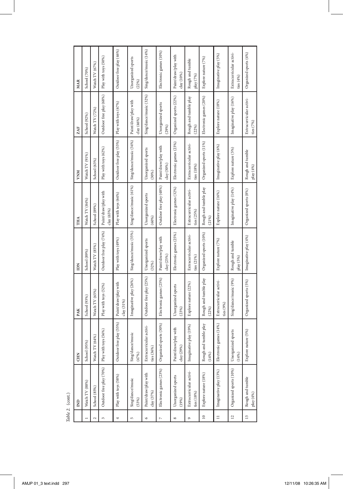|                       | $\overline{B}$                        | <b>CHN</b>                            | PAK                                    | IDN                                   | THA                                   | <b>NNM</b>                            | ZAF                                    | <b>MAR</b>                              |
|-----------------------|---------------------------------------|---------------------------------------|----------------------------------------|---------------------------------------|---------------------------------------|---------------------------------------|----------------------------------------|-----------------------------------------|
|                       | Watch TV (88%)                        | (95%)<br>School                       | School (93%)                           | School (89%)                          | Watch TV (84%)                        | Watch TV (91%)                        | School (92%)                           | School (70%)                            |
| $\sim$                | School (85%)                          | $\text{TV}\left(64\%\right)$<br>Watch | Watch TV (65%)                         | Watch TV (85%)                        | School (89%)                          | School (63%)                          | Watch TV (72%)                         | Watch TV (67%)                          |
| $\tilde{\phantom{0}}$ | Outdoor free play (70%)               | Play with toys (56%)                  | Play with toys (52%)                   | Outdoor free play (74%)               | Paint/draw/play with<br>day(65%)      | Play with toys (62%)                  | Outdoor free play (68%)                | Play with toys (50%)                    |
| 4                     | Play with toys (58%)                  | Outdoor free play (55%)               | Paint/draw/play with<br>clay(31%       | Play with toys (49%)                  | Play with toys (64%)                  | Outdoor free play (53%)               | Play with toys (67%)                   | Outdoor free play (46%)                 |
| S                     | Sing/dance/music<br>(53%)             | Sing/dance/music<br>(47%)             | Imaginative play (26%)                 | Sing/dance/music (35%)                | Sing/dance/music (61%)                | Sing/dance/music (34%)                | Paint/draw/play with<br>clay (46%)     | Unorganized sports<br>(22%)             |
| $\circ$               | Paint/draw/play with<br>clay(37%)     | Extracurricular activi-<br>ties (36%) | Outdoor free play (25%)                | Unorganized sports<br>(32%)           | Unorganized sports<br>(60%)           | Unorganized sports<br>(30%)           | Sing/dance/music (32%)                 | Sing/dance/music (14%)                  |
| $\overline{a}$        | Electronic games (23%)                | Organized sports (30%)                | Electronic games (25%)                 | Paint/draw/play with<br>clay(25%)     | Outdoor free play (48%)               | Paint/draw/play with<br>day (30%)     | Unorganized sports<br>(29%)            | Electronic games (10%)                  |
| $^{\circ}$            | Unorganized sports<br>(19%)           | Paint/draw/play with<br>clay (29%)    | Unorganized sports<br>(23%)            | Electronic games (25%)                | Electronic games (32%)                | Electronic games (23%)                | Organized sports (22%)                 | Paint/draw/play with<br>clay(10%        |
| o                     | Extracurricular activi-<br>ties (18%) | native play (19%)<br>Imagin           | Explore nature (22%)                   | Extracurricular activi-<br>ties (21%) | Extracurricular activi-<br>ties (25%) | Extracurricular activi-<br>ties (18%) | Rough and tumble play<br>(22%)         | Rough and tumble<br>play (7%)           |
| $\approx$             | Explore nature (18%)                  | and tumble play<br>Rough<br>(14%)     | Rough and tumble play<br>(22%)         | Organized sports (10%)                | Rough and tumble play<br>(21%)        | Organized sports (11%)                | Electronic games (20%)                 | Explore nature (7%)                     |
| $\equiv$              | Imaginative play (13%)                | Electronic games (14%)                | Extracurricular activi-<br>ties $(9%)$ | Explore nature (7%)                   | Explore nature (16%)                  | Imaginative play (6%)                 | Explore nature (18%)                   | Imaginative play (5%)                   |
| $\overline{12}$       | Organized sports (10%)                | Unorganized sports<br>(14%)           | Sing/dance/music (9%)                  | Rough and tumble<br>play (5%)         | Imaginative play (14%)                | Explore nature (5%)                   | Imaginative play (16%)                 | Extracurricular activi-<br>ties $(4\%)$ |
| $\frac{3}{2}$         | Rough and tumble<br>play (4%)         | Explore nature (5%)                   | Organized sports (5%)                  | Imaginative play (4%)                 | Organized sports (8%)                 | Rough and tumble<br>play (4%)         | Extracurricular activi-<br>ties $(7%)$ | Organized sports (4%)                   |

Table 2. (cont.) *Table 2.* (cont.)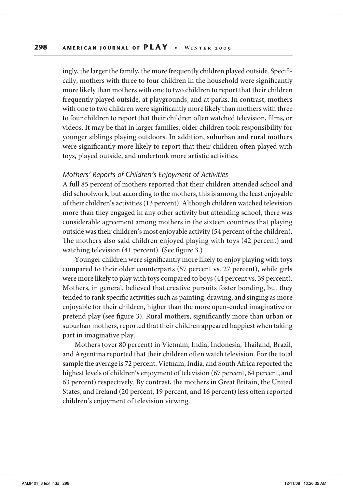ingly, the larger the family, the more frequently children played outside. Specifically, mothers with three to four children in the household were significantly more likely than mothers with one to two children to report that their children frequently played outside, at playgrounds, and at parks. In contrast, mothers with one to two children were significantly more likely than mothers with three to four children to report that their children often watched television, films, or videos. It may be that in larger families, older children took responsibility for younger siblings playing outdoors. In addition, suburban and rural mothers were significantly more likely to report that their children often played with toys, played outside, and undertook more artistic activities.

#### *Mothers' Reports of Children's Enjoyment of Activities*

A full 85 percent of mothers reported that their children attended school and did schoolwork, but according to the mothers, this is among the least enjoyable of their children's activities (13 percent). Although children watched television more than they engaged in any other activity but attending school, there was considerable agreement among mothers in the sixteen countries that playing outside was their children's most enjoyable activity (54 percent of the children). The mothers also said children enjoyed playing with toys (42 percent) and watching television (41 percent). (See figure 3.)

Younger children were significantly more likely to enjoy playing with toys compared to their older counterparts (57 percent vs. 27 percent), while girls were more likely to play with toys compared to boys (44 percent vs. 39 percent). Mothers, in general, believed that creative pursuits foster bonding, but they tended to rank specific activities such as painting, drawing, and singing as more enjoyable for their children, higher than the more open-ended imaginative or pretend play (see figure 3). Rural mothers, significantly more than urban or suburban mothers, reported that their children appeared happiest when taking part in imaginative play.

Mothers (over 80 percent) in Vietnam, India, Indonesia, Thailand, Brazil, and Argentina reported that their children often watch television. For the total sample the average is 72 percent. Vietnam, India, and South Africa reported the highest levels of children's enjoyment of television (67 percent, 64 percent, and 63 percent) respectively. By contrast, the mothers in Great Britain, the United States, and Ireland (20 percent, 19 percent, and 16 percent) less often reported children's enjoyment of television viewing.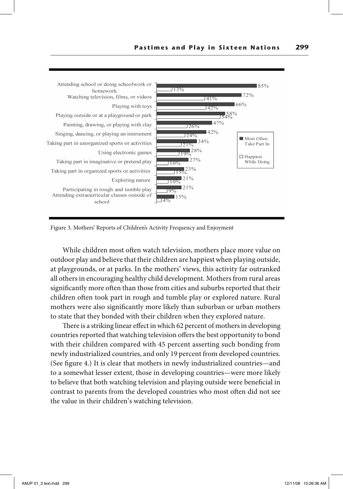

Figure 3. Mothers' Reports of Children's Activity Frequency and Enjoyment

While children most often watch television, mothers place more value on outdoor play and believe that their children are happiest when playing outside, at playgrounds, or at parks. In the mothers' views, this activity far outranked all others in encouraging healthy child development. Mothers from rural areas significantly more often than those from cities and suburbs reported that their children often took part in rough and tumble play or explored nature. Rural mothers were also significantly more likely than suburban or urban mothers to state that they bonded with their children when they explored nature.

There is a striking linear effect in which 62 percent of mothers in developing countries reported that watching television offers the best opportunity to bond with their children compared with 45 percent asserting such bonding from newly industrialized countries, and only 19 percent from developed countries. (See figure 4.) It is clear that mothers in newly industrialized countries—and to a somewhat lesser extent, those in developing countries—were more likely to believe that both watching television and playing outside were beneficial in contrast to parents from the developed countries who most often did not see the value in their children's watching television.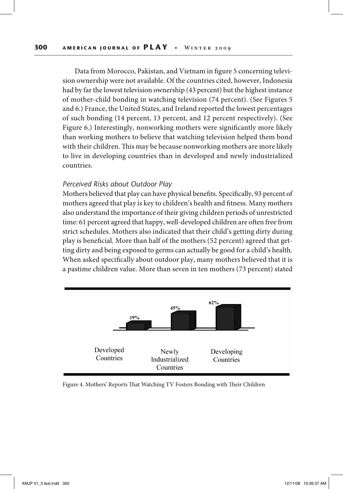Data from Morocco, Pakistan, and Vietnam in figure 5 concerning television ownership were not available. Of the countries cited, however, Indonesia had by far the lowest television ownership (43 percent) but the highest instance of mother-child bonding in watching television (74 percent). (See Figures 5 and 6.) France, the United States, and Ireland reported the lowest percentages of such bonding (14 percent, 13 percent, and 12 percent respectively). (See Figure 6.) Interestingly, nonworking mothers were significantly more likely than working mothers to believe that watching television helped them bond with their children. This may be because nonworking mothers are more likely to live in developing countries than in developed and newly industrialized countries.

#### *Perceived Risks about Outdoor Play*

Mothers believed that play can have physical benefits. Specifically, 93 percent of mothers agreed that play is key to children's health and fitness. Many mothers also understand the importance of their giving children periods of unrestricted time: 61 percent agreed that happy, well-developed children are often free from strict schedules. Mothers also indicated that their child's getting dirty during play is beneficial. More than half of the mothers (52 percent) agreed that getting dirty and being exposed to germs can actually be good for a child's health. When asked specifically about outdoor play, many mothers believed that it is a pastime children value. More than seven in ten mothers (73 percent) stated



Figure 4. Mothers' Reports That Watching TV Fosters Bonding with Their Children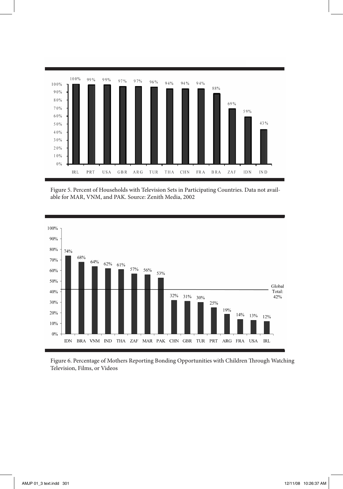

Figure 5. Percent of Households with Television Sets in Participating Countries. Data not available for MAR, VNM, and PAK. Source: Zenith Media, 2002



Figure 6. Percentage of Mothers Reporting Bonding Opportunities with Children Through Watching Television, Films, or Videos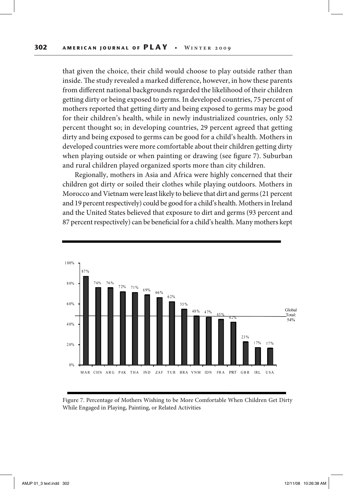that given the choice, their child would choose to play outside rather than inside. The study revealed a marked difference, however, in how these parents from different national backgrounds regarded the likelihood of their children getting dirty or being exposed to germs. In developed countries, 75 percent of mothers reported that getting dirty and being exposed to germs may be good for their children's health, while in newly industrialized countries, only 52 percent thought so; in developing countries, 29 percent agreed that getting dirty and being exposed to germs can be good for a child's health. Mothers in developed countries were more comfortable about their children getting dirty when playing outside or when painting or drawing (see figure 7). Suburban and rural children played organized sports more than city children.

Regionally, mothers in Asia and Africa were highly concerned that their children got dirty or soiled their clothes while playing outdoors. Mothers in Morocco and Vietnam were least likely to believe that dirt and germs (21 percent and 19 percent respectively) could be good for a child's health. Mothers in Ireland and the United States believed that exposure to dirt and germs (93 percent and 87 percent respectively) can be beneficial for a child's health. Many mothers kept



Figure 7. Percentage of Mothers Wishing to be More Comfortable When Children Get Dirty While Engaged in Playing, Painting, or Related Activities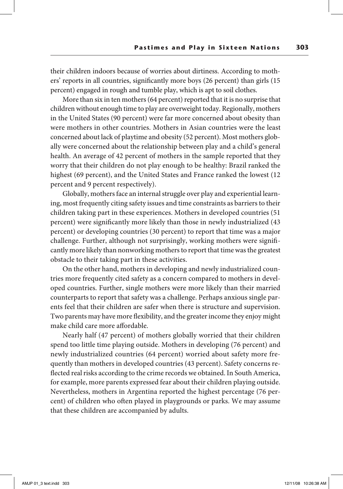their children indoors because of worries about dirtiness. According to mothers' reports in all countries, significantly more boys (26 percent) than girls (15 percent) engaged in rough and tumble play, which is apt to soil clothes.

More than six in ten mothers (64 percent) reported that it is no surprise that children without enough time to play are overweight today. Regionally, mothers in the United States (90 percent) were far more concerned about obesity than were mothers in other countries. Mothers in Asian countries were the least concerned about lack of playtime and obesity (52 percent). Most mothers globally were concerned about the relationship between play and a child's general health. An average of 42 percent of mothers in the sample reported that they worry that their children do not play enough to be healthy: Brazil ranked the highest (69 percent), and the United States and France ranked the lowest (12 percent and 9 percent respectively).

Globally, mothers face an internal struggle over play and experiential learning, most frequently citing safety issues and time constraints as barriers to their children taking part in these experiences. Mothers in developed countries (51 percent) were significantly more likely than those in newly industrialized (43 percent) or developing countries (30 percent) to report that time was a major challenge. Further, although not surprisingly, working mothers were significantly more likely than nonworking mothers to report that time was the greatest obstacle to their taking part in these activities.

On the other hand, mothers in developing and newly industrialized countries more frequently cited safety as a concern compared to mothers in developed countries. Further, single mothers were more likely than their married counterparts to report that safety was a challenge. Perhaps anxious single parents feel that their children are safer when there is structure and supervision. Two parents may have more flexibility, and the greater income they enjoy might make child care more affordable.

Nearly half (47 percent) of mothers globally worried that their children spend too little time playing outside. Mothers in developing (76 percent) and newly industrialized countries (64 percent) worried about safety more frequently than mothers in developed countries (43 percent). Safety concerns reflected real risks according to the crime records we obtained. In South America, for example, more parents expressed fear about their children playing outside. Nevertheless, mothers in Argentina reported the highest percentage (76 percent) of children who often played in playgrounds or parks. We may assume that these children are accompanied by adults.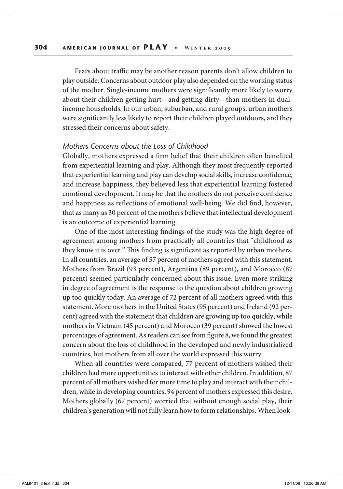Fears about traffic may be another reason parents don't allow children to play outside. Concerns about outdoor play also depended on the working status of the mother. Single-income mothers were significantly more likely to worry about their children getting hurt—and getting dirty—than mothers in dualincome households. In our urban, suburban, and rural groups, urban mothers were significantly less likely to report their children played outdoors, and they stressed their concerns about safety.

#### *Mothers Concerns about the Loss of Childhood*

Globally, mothers expressed a firm belief that their children often benefited from experiential learning and play. Although they most frequently reported that experiential learning and play can develop social skills, increase confidence, and increase happiness, they believed less that experiential learning fostered emotional development. It may be that the mothers do not perceive confidence and happiness as reflections of emotional well-being. We did find, however, that as many as 30 percent of the mothers believe that intellectual development is an outcome of experiential learning.

One of the most interesting findings of the study was the high degree of agreement among mothers from practically all countries that "childhood as they know it is over." This finding is significant as reported by urban mothers. In all countries, an average of 57 percent of mothers agreed with this statement. Mothers from Brazil (93 percent), Argentina (89 percent), and Morocco (87 percent) seemed particularly concerned about this issue. Even more striking in degree of agreement is the response to the question about children growing up too quickly today. An average of 72 percent of all mothers agreed with this statement. More mothers in the United States (95 percent) and Ireland (92 percent) agreed with the statement that children are growing up too quickly, while mothers in Vietnam (45 percent) and Morocco (39 percent) showed the lowest percentages of agreement. As readers can see from figure 8, we found the greatest concern about the loss of childhood in the developed and newly industrialized countries, but mothers from all over the world expressed this worry.

When all countries were compared, 77 percent of mothers wished their children had more opportunities to interact with other children. In addition, 87 percent of all mothers wished for more time to play and interact with their children, while in developing countries, 94 percent of mothers expressed this desire. Mothers globally (67 percent) worried that without enough social play, their children's generation will not fully learn how to form relationships. When look-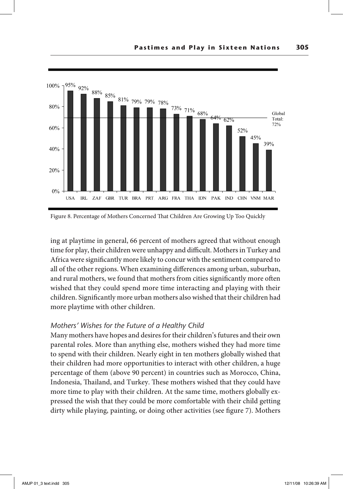



ing at playtime in general, 66 percent of mothers agreed that without enough time for play, their children were unhappy and difficult. Mothers in Turkey and Africa were significantly more likely to concur with the sentiment compared to all of the other regions. When examining differences among urban, suburban, and rural mothers, we found that mothers from cities significantly more often wished that they could spend more time interacting and playing with their children. Significantly more urban mothers also wished that their children had more playtime with other children.

## *Mothers' Wishes for the Future of a Healthy Child*

Many mothers have hopes and desires for their children's futures and their own parental roles. More than anything else, mothers wished they had more time to spend with their children. Nearly eight in ten mothers globally wished that their children had more opportunities to interact with other children, a huge percentage of them (above 90 percent) in countries such as Morocco, China, Indonesia, Thailand, and Turkey. These mothers wished that they could have more time to play with their children. At the same time, mothers globally expressed the wish that they could be more comfortable with their child getting dirty while playing, painting, or doing other activities (see figure 7). Mothers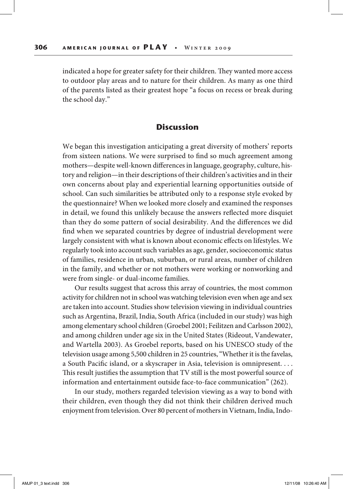indicated a hope for greater safety for their children. They wanted more access to outdoor play areas and to nature for their children. As many as one third of the parents listed as their greatest hope "a focus on recess or break during the school day."

## **Discussion**

We began this investigation anticipating a great diversity of mothers' reports from sixteen nations. We were surprised to find so much agreement among mothers—despite well-known differences in language, geography, culture, history and religion—in their descriptions of their children's activities and in their own concerns about play and experiential learning opportunities outside of school. Can such similarities be attributed only to a response style evoked by the questionnaire? When we looked more closely and examined the responses in detail, we found this unlikely because the answers reflected more disquiet than they do some pattern of social desirability. And the differences we did find when we separated countries by degree of industrial development were largely consistent with what is known about economic effects on lifestyles. We regularly took into account such variables as age, gender, socioeconomic status of families, residence in urban, suburban, or rural areas, number of children in the family, and whether or not mothers were working or nonworking and were from single- or dual-income families.

Our results suggest that across this array of countries, the most common activity for children not in school was watching television even when age and sex are taken into account. Studies show television viewing in individual countries such as Argentina, Brazil, India, South Africa (included in our study) was high among elementary school children (Groebel 2001; Feilitzen and Carlsson 2002), and among children under age six in the United States (Rideout, Vandewater, and Wartella 2003). As Groebel reports, based on his UNESCO study of the television usage among 5,500 children in 25 countries, "Whether it is the favelas, a South Pacific island, or a skyscraper in Asia, television is omnipresent. . . . This result justifies the assumption that TV still is the most powerful source of information and entertainment outside face-to-face communication" (262).

In our study, mothers regarded television viewing as a way to bond with their children, even though they did not think their children derived much enjoyment from television. Over 80 percent of mothers in Vietnam, India, Indo-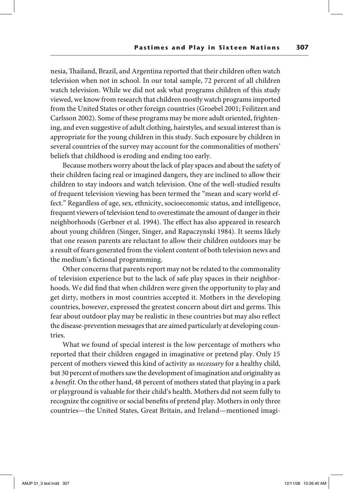nesia, Thailand, Brazil, and Argentina reported that their children often watch television when not in school. In our total sample, 72 percent of all children watch television. While we did not ask what programs children of this study viewed, we know from research that children mostly watch programs imported from the United States or other foreign countries (Groebel 2001; Feilitzen and Carlsson 2002). Some of these programs may be more adult oriented, frightening, and even suggestive of adult clothing, hairstyles, and sexual interest than is appropriate for the young children in this study. Such exposure by children in several countries of the survey may account for the commonalities of mothers' beliefs that childhood is eroding and ending too early.

Because mothers worry about the lack of play spaces and about the safety of their children facing real or imagined dangers, they are inclined to allow their children to stay indoors and watch television. One of the well-studied results of frequent television viewing has been termed the "mean and scary world effect." Regardless of age, sex, ethnicity, socioeconomic status, and intelligence, frequent viewers of television tend to overestimate the amount of danger in their neighborhoods (Gerbner et al. 1994). The effect has also appeared in research about young children (Singer, Singer, and Rapaczynski 1984). It seems likely that one reason parents are reluctant to allow their children outdoors may be a result of fears generated from the violent content of both television news and the medium's fictional programming.

Other concerns that parents report may not be related to the commonality of television experience but to the lack of safe play spaces in their neighborhoods. We did find that when children were given the opportunity to play and get dirty, mothers in most countries accepted it. Mothers in the developing countries, however, expressed the greatest concern about dirt and germs. This fear about outdoor play may be realistic in these countries but may also reflect the disease-prevention messages that are aimed particularly at developing countries.

What we found of special interest is the low percentage of mothers who reported that their children engaged in imaginative or pretend play. Only 15 percent of mothers viewed this kind of activity as *necessary* for a healthy child, but 30 percent of mothers saw the development of imagination and originality as a *benefit*. On the other hand, 48 percent of mothers stated that playing in a park or playground is valuable for their child's health. Mothers did not seem fully to recognize the cognitive or social benefits of pretend play. Mothers in only three countries—the United States, Great Britain, and Ireland—mentioned imagi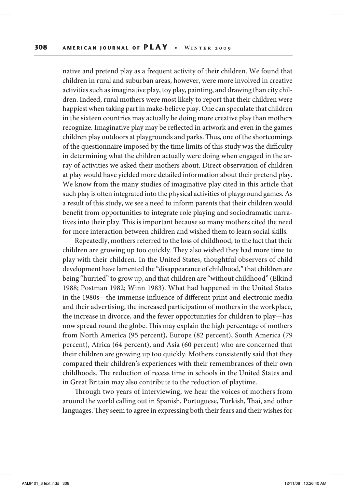native and pretend play as a frequent activity of their children. We found that children in rural and suburban areas, however, were more involved in creative activities such as imaginative play, toy play, painting, and drawing than city children. Indeed, rural mothers were most likely to report that their children were happiest when taking part in make-believe play. One can speculate that children in the sixteen countries may actually be doing more creative play than mothers recognize. Imaginative play may be reflected in artwork and even in the games children play outdoors at playgrounds and parks. Thus, one of the shortcomings of the questionnaire imposed by the time limits of this study was the difficulty in determining what the children actually were doing when engaged in the array of activities we asked their mothers about. Direct observation of children at play would have yielded more detailed information about their pretend play. We know from the many studies of imaginative play cited in this article that such play is often integrated into the physical activities of playground games. As a result of this study, we see a need to inform parents that their children would benefit from opportunities to integrate role playing and sociodramatic narratives into their play. This is important because so many mothers cited the need for more interaction between children and wished them to learn social skills.

Repeatedly, mothers referred to the loss of childhood, to the fact that their children are growing up too quickly. They also wished they had more time to play with their children. In the United States, thoughtful observers of child development have lamented the "disappearance of childhood," that children are being "hurried" to grow up, and that children are "without childhood" (Elkind 1988; Postman 1982; Winn 1983). What had happened in the United States in the 1980s—the immense influence of different print and electronic media and their advertising, the increased participation of mothers in the workplace, the increase in divorce, and the fewer opportunities for children to play—has now spread round the globe. This may explain the high percentage of mothers from North America (95 percent), Europe (82 percent), South America (79 percent), Africa (64 percent), and Asia (60 percent) who are concerned that their children are growing up too quickly. Mothers consistently said that they compared their children's experiences with their remembrances of their own childhoods. The reduction of recess time in schools in the United States and in Great Britain may also contribute to the reduction of playtime.

Through two years of interviewing, we hear the voices of mothers from around the world calling out in Spanish, Portuguese, Turkish, Thai, and other languages. They seem to agree in expressing both their fears and their wishes for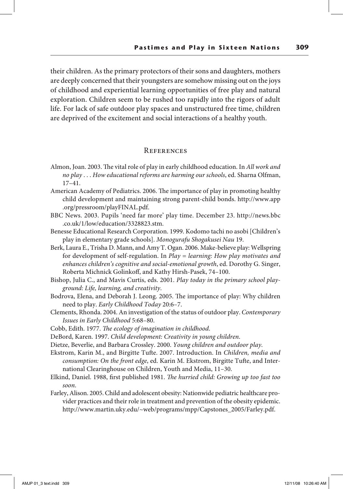their children. As the primary protectors of their sons and daughters, mothers are deeply concerned that their youngsters are somehow missing out on the joys of childhood and experiential learning opportunities of free play and natural exploration. Children seem to be rushed too rapidly into the rigors of adult life. For lack of safe outdoor play spaces and unstructured free time, children are deprived of the excitement and social interactions of a healthy youth.

#### **REFERENCES**

- Almon, Joan. 2003. The vital role of play in early childhood education. In *All work and no play* . . . *How educational reforms are harming our schools*, ed. Sharna Olfman, 17–41.
- American Academy of Pediatrics. 2006. The importance of play in promoting healthy child development and maintaining strong parent-child bonds. http://www.app .org/pressroom/playFINAL.pdf.
- BBC News. 2003. Pupils 'need far more' play time. December 23. http://news.bbc .co.uk/1/low/education/3328823.stm.
- Benesse Educational Research Corporation. 1999. Kodomo tachi no asobi [Children's play in elementary grade schools]. *Monogurafu Shogakusei Nau* 19.
- Berk, Laura E., Trisha D. Mann, and Amy T. Ogan. 2006. Make-believe play: Wellspring for development of self-regulation. In *Play = learning: How play motivates and enhances children's cognitive and social-emotional growth*, ed. Dorothy G. Singer, Roberta Michnick Golinkoff, and Kathy Hirsh-Pasek, 74–100.
- Bishop, Julia C., and Mavis Curtis, eds. 2001. *Play today in the primary school playground: Life, learning, and creativity*.
- Bodrova, Elena, and Deborah J. Leong. 2005. The importance of play: Why children need to play. *Early Childhood Today* 20:6–7.
- Clements, Rhonda. 2004. An investigation of the status of outdoor play. *Contemporary Issues in Early Childhood* 5:68–80.
- Cobb, Edith. 1977. *The ecology of imagination in childhood*.
- DeBord, Karen. 1997. *Child development: Creativity in young children*.
- Dietze, Beverlie, and Barbara Crossley. 2000. *Young children and outdoor play*.
- Ekstrom, Karin M., and Birgitte Tufte. 2007. Introduction. In *Children, media and consumption: On the front edge*, ed. Karin M. Ekstrom, Birgitte Tufte, and International Clearinghouse on Children, Youth and Media, 11–30.
- Elkind, Daniel. 1988, first published 1981. *The hurried child: Growing up too fast too soon*.
- Farley, Alison. 2005. Child and adolescent obesity: Nationwide pediatric healthcare provider practices and their role in treatment and prevention of the obesity epidemic. http://www.martin.uky.edu/~web/programs/mpp/Capstones\_2005/Farley.pdf.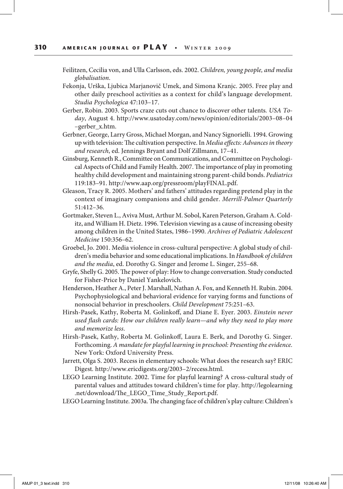- Feilitzen, Cecilia von, and Ulla Carlsson, eds. 2002. *Children, young people, and media globalisation*.
- Fekonja, Urška, Ljubica Marjanovič Umek, and Simona Kranjc. 2005. Free play and other daily preschool activities as a context for child's language development. *Studia Psychologica* 47:103–17.
- Gerber, Robin. 2003. Sports craze cuts out chance to discover other talents*. USA Today*, August 4. http://www.usatoday.com/news/opinion/editorials/2003–08–04 –gerber\_x.htm.
- Gerbner, George, Larry Gross, Michael Morgan, and Nancy Signorielli. 1994. Growing up with television: The cultivation perspective. In *Media effects: Advances in theory and research*, ed. Jennings Bryant and Dolf Zillmann, 17–41.
- Ginsburg, Kenneth R., Committee on Communications, and Committee on Psychological Aspects of Child and Family Health. 2007. The importance of play in promoting healthy child development and maintaining strong parent-child bonds. *Pediatrics* 119:183–91. http://www.aap.org/pressroom/playFINAL.pdf.
- Gleason, Tracy R. 2005. Mothers' and fathers' attitudes regarding pretend play in the context of imaginary companions and child gender. *Merrill-Palmer Quarterly* 51:412–36.
- Gortmaker, Steven L., Aviva Must, Arthur M. Sobol, Karen Peterson, Graham A. Colditz, and William H. Dietz. 1996. Television viewing as a cause of increasing obesity among children in the United States, 1986–1990. *Archives of Pediatric Adolescent Medicine* 150:356–62.
- Groebel, Jo. 2001. Media violence in cross-cultural perspective: A global study of children's media behavior and some educational implications. In *Handbook of children and the media*, ed. Dorothy G. Singer and Jerome L. Singer, 255–68.
- Gryfe, Shelly G. 2005. The power of play: How to change conversation. Study conducted for Fisher-Price by Daniel Yankelovich.
- Henderson, Heather A., Peter J. Marshall, Nathan A. Fox, and Kenneth H. Rubin. 2004. Psychophysiological and behavioral evidence for varying forms and functions of nonsocial behavior in preschoolers. *Child Development* 75:251–63.
- Hirsh-Pasek, Kathy, Roberta M. Golinkoff, and Diane E. Eyer. 2003. *Einstein never used flash cards: How our children really learn—and why they need to play more and memorize less*.
- Hirsh-Pasek, Kathy, Roberta M. Golinkoff, Laura E. Berk, and Dorothy G. Singer. Forthcoming. *A mandate for playful learning in preschool: Presenting the evidence.* New York: Oxford University Press.
- Jarrett, Olga S. 2003. Recess in elementary schools: What does the research say? ERIC Digest*.* http://www.ericdigests.org/2003–2/recess.html.
- LEGO Learning Institute. 2002. Time for playful learning? A cross-cultural study of parental values and attitudes toward children's time for play. http://legolearning .net/download/The\_LEGO\_Time\_Study\_Report.pdf.
- LEGO Learning Institute. 2003a. The changing face of children's play culture: Children's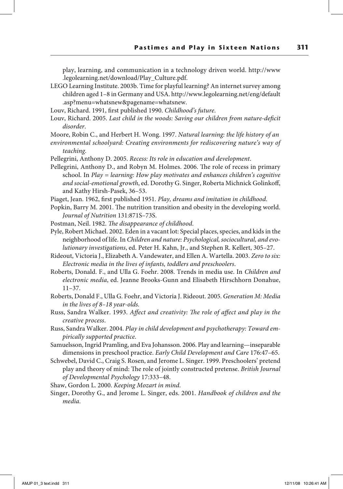play, learning, and communication in a technology driven world. http://www .legolearning.net/download/Play\_Culture.pdf.

- LEGO Learning Institute. 2003b. Time for playful learning? An internet survey among children aged 1–8 in Germany and USA. http://www.legolearning.net/eng/default .asp?menu=whatsnew&pagename=whatsnew.
- Louv, Richard. 1991, first published 1990. *Childhood's future*.
- Louv, Richard. 2005. *Last child in the woods: Saving our children from nature-deficit disorder*.

Moore, Robin C., and Herbert H. Wong. 1997. *Natural learning: the life history of an*

- *environmental schoolyard: Creating environments for rediscovering nature's way of teaching.*
- Pellegrini, Anthony D. 2005. *Recess: Its role in education and development*.
- Pellegrini, Anthony D., and Robyn M. Holmes. 2006. The role of recess in primary school. In *Play = learning: How play motivates and enhances children's cognitive and social-emotional growth*, ed. Dorothy G. Singer, Roberta Michnick Golinkoff, and Kathy Hirsh-Pasek, 36–53.
- Piaget, Jean. 1962, first published 1951. *Play, dreams and imitation in childhood*.
- Popkin, Barry M. 2001. The nutrition transition and obesity in the developing world. *Journal of Nutrition* 131:871S–73S.
- Postman, Neil. 1982. *The disappearance of childhood*.
- Pyle, Robert Michael. 2002. Eden in a vacant lot: Special places, species, and kids in the neighborhood of life. In *Children and nature: Psychological, sociocultural, and evolutionary investigations*, ed. Peter H. Kahn, Jr., and Stephen R. Kellert, 305–27.
- Rideout, Victoria J., Elizabeth A. Vandewater, and Ellen A. Wartella. 2003. *Zero to six: Electronic media in the lives of infants, toddlers and preschoolers*.
- Roberts, Donald. F., and Ulla G. Foehr. 2008. Trends in media use. In *Children and electronic media*, ed. Jeanne Brooks-Gunn and Elisabeth Hirschhorn Donahue, 11–37.
- Roberts, Donald F., Ulla G. Foehr, and Victoria J. Rideout. 2005. *Generation M: Media in the lives of 8–18 year-olds.*
- Russ, Sandra Walker. 1993. *Affect and creativity: The role of affect and play in the creative process*.
- Russ, Sandra Walker. 2004. *Play in child development and psychotherapy: Toward empirically supported practice*.
- Samuelsson, Ingrid Pramling, and Eva Johansson. 2006. Play and learning—inseparable dimensions in preschool practice. *Early Child Development and Care* 176:47–65.
- Schwebel, David C., Craig S. Rosen, and Jerome L. Singer. 1999. Preschoolers' pretend play and theory of mind: The role of jointly constructed pretense. *British Journal of Developmental Psychology* 17:333–48.

Shaw, Gordon L. 2000. *Keeping Mozart in mind*.

Singer, Dorothy G., and Jerome L. Singer, eds. 2001. *Handbook of children and the media*.